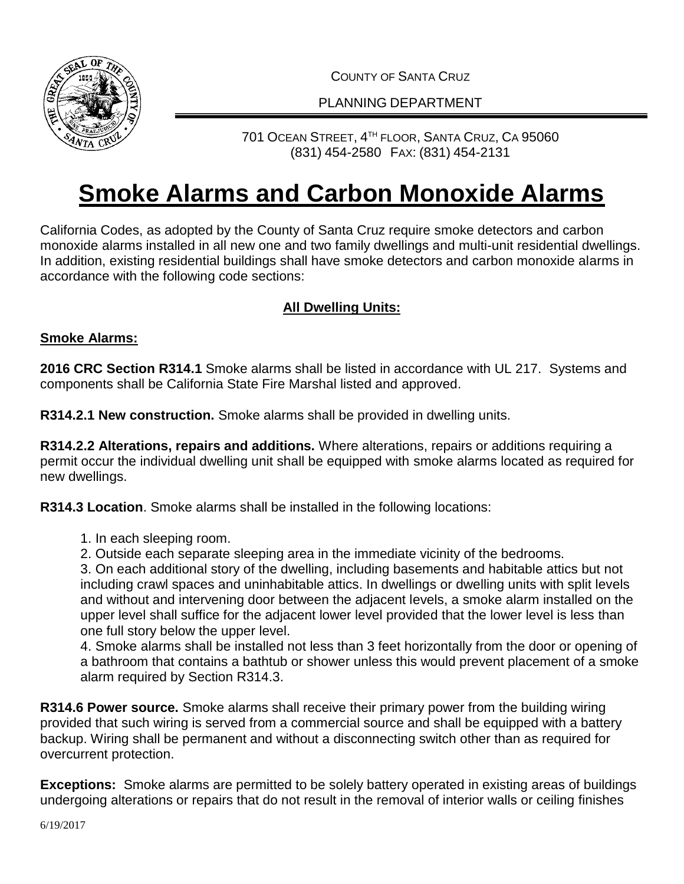

COUNTY OF SANTA CRUZ

### PI ANNING DEPARTMENT

## 701 OCEAN STREET, 4 TH FLOOR, SANTA CRUZ, CA 95060 (831) 454-2580 FAX: (831) 454-2131

# **Smoke Alarms and Carbon Monoxide Alarms**

California Codes, as adopted by the County of Santa Cruz require smoke detectors and carbon monoxide alarms installed in all new one and two family dwellings and multi-unit residential dwellings. In addition, existing residential buildings shall have smoke detectors and carbon monoxide alarms in accordance with the following code sections:

### **All Dwelling Units:**

#### **Smoke Alarms:**

**2016 CRC Section R314.1** Smoke alarms shall be listed in accordance with UL 217. Systems and components shall be California State Fire Marshal listed and approved.

**R314.2.1 New construction.** Smoke alarms shall be provided in dwelling units.

**R314.2.2 Alterations, repairs and additions.** Where alterations, repairs or additions requiring a permit occur the individual dwelling unit shall be equipped with smoke alarms located as required for new dwellings.

**R314.3 Location**. Smoke alarms shall be installed in the following locations:

- 1. In each sleeping room.
- 2. Outside each separate sleeping area in the immediate vicinity of the bedrooms.

3. On each additional story of the dwelling, including basements and habitable attics but not including crawl spaces and uninhabitable attics. In dwellings or dwelling units with split levels and without and intervening door between the adjacent levels, a smoke alarm installed on the upper level shall suffice for the adjacent lower level provided that the lower level is less than one full story below the upper level.

4. Smoke alarms shall be installed not less than 3 feet horizontally from the door or opening of a bathroom that contains a bathtub or shower unless this would prevent placement of a smoke alarm required by Section R314.3.

**R314.6 Power source.** Smoke alarms shall receive their primary power from the building wiring provided that such wiring is served from a commercial source and shall be equipped with a battery backup. Wiring shall be permanent and without a disconnecting switch other than as required for overcurrent protection.

**Exceptions:** Smoke alarms are permitted to be solely battery operated in existing areas of buildings undergoing alterations or repairs that do not result in the removal of interior walls or ceiling finishes